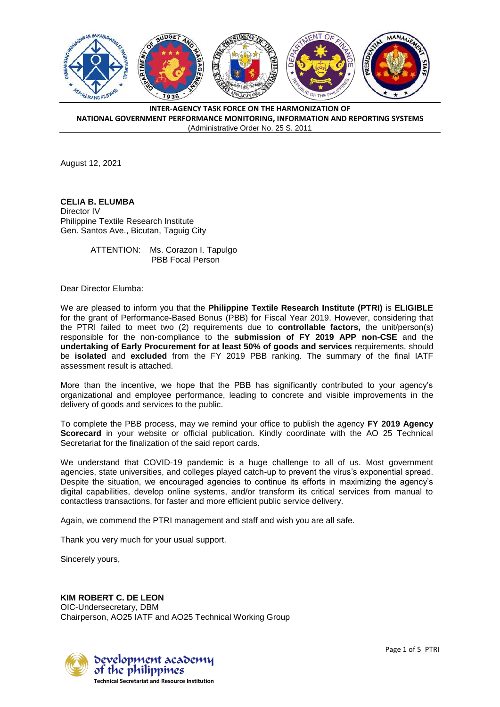

August 12, 2021

**CELIA B. ELUMBA** Director IV Philippine Textile Research Institute Gen. Santos Ave., Bicutan, Taguig City

> ATTENTION: Ms. Corazon I. Tapulgo PBB Focal Person

Dear Director Elumba:

We are pleased to inform you that the **Philippine Textile Research Institute (PTRI)** is **ELIGIBLE**  for the grant of Performance-Based Bonus (PBB) for Fiscal Year 2019. However, considering that the PTRI failed to meet two (2) requirements due to **controllable factors,** the unit/person(s) responsible for the non-compliance to the **submission of FY 2019 APP non-CSE** and the **undertaking of Early Procurement for at least 50% of goods and services** requirements, should be **isolated** and **excluded** from the FY 2019 PBB ranking. The summary of the final IATF assessment result is attached.

More than the incentive, we hope that the PBB has significantly contributed to your agency's organizational and employee performance, leading to concrete and visible improvements in the delivery of goods and services to the public.

To complete the PBB process, may we remind your office to publish the agency **FY 2019 Agency Scorecard** in your website or official publication. Kindly coordinate with the AO 25 Technical Secretariat for the finalization of the said report cards.

We understand that COVID-19 pandemic is a huge challenge to all of us. Most government agencies, state universities, and colleges played catch-up to prevent the virus's exponential spread. Despite the situation, we encouraged agencies to continue its efforts in maximizing the agency's digital capabilities, develop online systems, and/or transform its critical services from manual to contactless transactions, for faster and more efficient public service delivery.

Again, we commend the PTRI management and staff and wish you are all safe.

Thank you very much for your usual support.

Sincerely yours,

## **KIM ROBERT C. DE LEON**

OIC-Undersecretary, DBM Chairperson, AO25 IATF and AO25 Technical Working Group

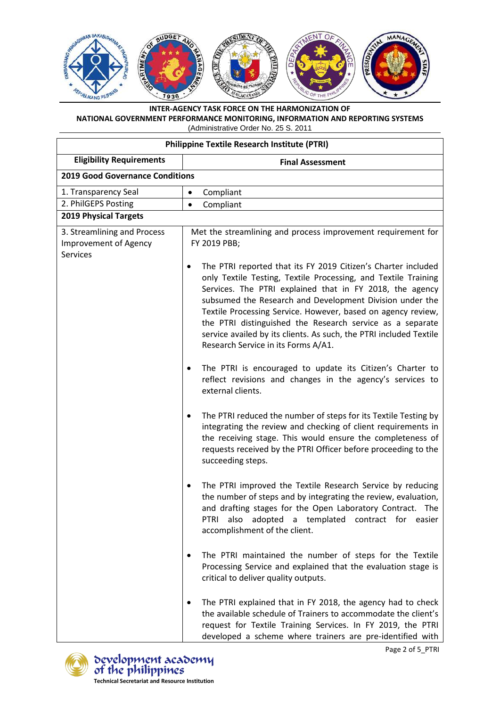

| <b>Philippine Textile Research Institute (PTRI)</b>                     |                                                                                                                                                                                                                                                                                                                                                                                                                                                                                                        |  |
|-------------------------------------------------------------------------|--------------------------------------------------------------------------------------------------------------------------------------------------------------------------------------------------------------------------------------------------------------------------------------------------------------------------------------------------------------------------------------------------------------------------------------------------------------------------------------------------------|--|
| <b>Eligibility Requirements</b>                                         | <b>Final Assessment</b>                                                                                                                                                                                                                                                                                                                                                                                                                                                                                |  |
| <b>2019 Good Governance Conditions</b>                                  |                                                                                                                                                                                                                                                                                                                                                                                                                                                                                                        |  |
| 1. Transparency Seal                                                    | Compliant<br>$\bullet$                                                                                                                                                                                                                                                                                                                                                                                                                                                                                 |  |
| 2. PhilGEPS Posting                                                     | Compliant<br>$\bullet$                                                                                                                                                                                                                                                                                                                                                                                                                                                                                 |  |
| <b>2019 Physical Targets</b>                                            |                                                                                                                                                                                                                                                                                                                                                                                                                                                                                                        |  |
| 3. Streamlining and Process<br>Improvement of Agency<br><b>Services</b> | Met the streamlining and process improvement requirement for<br>FY 2019 PBB;                                                                                                                                                                                                                                                                                                                                                                                                                           |  |
|                                                                         | The PTRI reported that its FY 2019 Citizen's Charter included<br>٠<br>only Textile Testing, Textile Processing, and Textile Training<br>Services. The PTRI explained that in FY 2018, the agency<br>subsumed the Research and Development Division under the<br>Textile Processing Service. However, based on agency review,<br>the PTRI distinguished the Research service as a separate<br>service availed by its clients. As such, the PTRI included Textile<br>Research Service in its Forms A/A1. |  |
|                                                                         | The PTRI is encouraged to update its Citizen's Charter to<br>reflect revisions and changes in the agency's services to<br>external clients.                                                                                                                                                                                                                                                                                                                                                            |  |
|                                                                         | The PTRI reduced the number of steps for its Textile Testing by<br>integrating the review and checking of client requirements in<br>the receiving stage. This would ensure the completeness of<br>requests received by the PTRI Officer before proceeding to the<br>succeeding steps.                                                                                                                                                                                                                  |  |
|                                                                         | The PTRI improved the Textile Research Service by reducing<br>٠<br>the number of steps and by integrating the review, evaluation,<br>and drafting stages for the Open Laboratory Contract. The<br>also adopted a templated contract for easier<br>PTRI<br>accomplishment of the client.                                                                                                                                                                                                                |  |
|                                                                         | The PTRI maintained the number of steps for the Textile<br>Processing Service and explained that the evaluation stage is<br>critical to deliver quality outputs.                                                                                                                                                                                                                                                                                                                                       |  |
|                                                                         | The PTRI explained that in FY 2018, the agency had to check<br>the available schedule of Trainers to accommodate the client's<br>request for Textile Training Services. In FY 2019, the PTRI<br>developed a scheme where trainers are pre-identified with                                                                                                                                                                                                                                              |  |

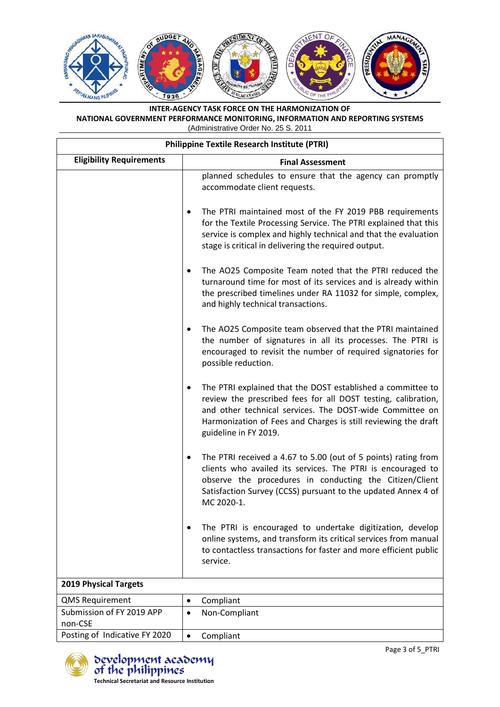

| <b>Philippine Textile Research Institute (PTRI)</b> |                                                                                                                                                                                                                                                                                     |  |
|-----------------------------------------------------|-------------------------------------------------------------------------------------------------------------------------------------------------------------------------------------------------------------------------------------------------------------------------------------|--|
| <b>Eligibility Requirements</b>                     | <b>Final Assessment</b>                                                                                                                                                                                                                                                             |  |
|                                                     | planned schedules to ensure that the agency can promptly<br>accommodate client requests.                                                                                                                                                                                            |  |
|                                                     | The PTRI maintained most of the FY 2019 PBB requirements<br>٠<br>for the Textile Processing Service. The PTRI explained that this<br>service is complex and highly technical and that the evaluation<br>stage is critical in delivering the required output.                        |  |
|                                                     | The AO25 Composite Team noted that the PTRI reduced the<br>٠<br>turnaround time for most of its services and is already within<br>the prescribed timelines under RA 11032 for simple, complex,<br>and highly technical transactions.                                                |  |
|                                                     | The AO25 Composite team observed that the PTRI maintained<br>٠<br>the number of signatures in all its processes. The PTRI is<br>encouraged to revisit the number of required signatories for<br>possible reduction.                                                                 |  |
|                                                     | The PTRI explained that the DOST established a committee to<br>review the prescribed fees for all DOST testing, calibration,<br>and other technical services. The DOST-wide Committee on<br>Harmonization of Fees and Charges is still reviewing the draft<br>guideline in FY 2019. |  |
|                                                     | The PTRI received a 4.67 to 5.00 (out of 5 points) rating from<br>٠<br>clients who availed its services. The PTRI is encouraged to<br>observe the procedures in conducting the Citizen/Client<br>Satisfaction Survey (CCSS) pursuant to the updated Annex 4 of<br>MC 2020-1.        |  |
|                                                     | The PTRI is encouraged to undertake digitization, develop<br>online systems, and transform its critical services from manual<br>to contactless transactions for faster and more efficient public<br>service.                                                                        |  |
| <b>2019 Physical Targets</b>                        |                                                                                                                                                                                                                                                                                     |  |
| <b>QMS Requirement</b>                              | Compliant<br>٠                                                                                                                                                                                                                                                                      |  |
| Submission of FY 2019 APP<br>non-CSE                | Non-Compliant<br>$\bullet$                                                                                                                                                                                                                                                          |  |
| Posting of Indicative FY 2020                       | Compliant<br>$\bullet$                                                                                                                                                                                                                                                              |  |



development academy<br>of the philippines **Technical Secretariat and Resource Institution**

Page 3 of 5\_PTRI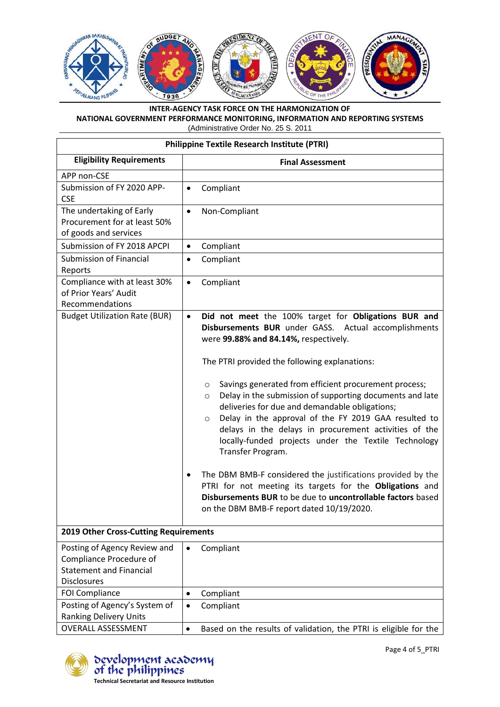

| <b>Philippine Textile Research Institute (PTRI)</b>                                                             |                                                                                                                                                                                                                                                                                                                                                                                                    |  |
|-----------------------------------------------------------------------------------------------------------------|----------------------------------------------------------------------------------------------------------------------------------------------------------------------------------------------------------------------------------------------------------------------------------------------------------------------------------------------------------------------------------------------------|--|
| <b>Eligibility Requirements</b>                                                                                 | <b>Final Assessment</b>                                                                                                                                                                                                                                                                                                                                                                            |  |
| APP non-CSE                                                                                                     |                                                                                                                                                                                                                                                                                                                                                                                                    |  |
| Submission of FY 2020 APP-<br><b>CSE</b>                                                                        | Compliant<br>$\bullet$                                                                                                                                                                                                                                                                                                                                                                             |  |
| The undertaking of Early<br>Procurement for at least 50%<br>of goods and services                               | Non-Compliant<br>$\bullet$                                                                                                                                                                                                                                                                                                                                                                         |  |
| Submission of FY 2018 APCPI                                                                                     | Compliant<br>$\bullet$                                                                                                                                                                                                                                                                                                                                                                             |  |
| <b>Submission of Financial</b><br>Reports                                                                       | Compliant<br>٠                                                                                                                                                                                                                                                                                                                                                                                     |  |
| Compliance with at least 30%<br>of Prior Years' Audit<br>Recommendations                                        | Compliant<br>$\bullet$                                                                                                                                                                                                                                                                                                                                                                             |  |
| <b>Budget Utilization Rate (BUR)</b>                                                                            | Did not meet the 100% target for Obligations BUR and<br>$\bullet$<br>Disbursements BUR under GASS. Actual accomplishments<br>were 99.88% and 84.14%, respectively.                                                                                                                                                                                                                                 |  |
|                                                                                                                 | The PTRI provided the following explanations:                                                                                                                                                                                                                                                                                                                                                      |  |
|                                                                                                                 | Savings generated from efficient procurement process;<br>$\circ$<br>Delay in the submission of supporting documents and late<br>$\circ$<br>deliveries for due and demandable obligations;<br>Delay in the approval of the FY 2019 GAA resulted to<br>$\circ$<br>delays in the delays in procurement activities of the<br>locally-funded projects under the Textile Technology<br>Transfer Program. |  |
|                                                                                                                 | The DBM BMB-F considered the justifications provided by the<br>$\bullet$<br>PTRI for not meeting its targets for the Obligations and<br>Disbursements BUR to be due to uncontrollable factors based<br>on the DBM BMB-F report dated 10/19/2020.                                                                                                                                                   |  |
| 2019 Other Cross-Cutting Requirements                                                                           |                                                                                                                                                                                                                                                                                                                                                                                                    |  |
| Posting of Agency Review and<br>Compliance Procedure of<br><b>Statement and Financial</b><br><b>Disclosures</b> | Compliant<br>$\bullet$                                                                                                                                                                                                                                                                                                                                                                             |  |
| <b>FOI Compliance</b>                                                                                           | Compliant<br>$\bullet$                                                                                                                                                                                                                                                                                                                                                                             |  |
| Posting of Agency's System of<br><b>Ranking Delivery Units</b>                                                  | Compliant<br>$\bullet$                                                                                                                                                                                                                                                                                                                                                                             |  |
| <b>OVERALL ASSESSMENT</b>                                                                                       | Based on the results of validation, the PTRI is eligible for the<br>$\bullet$                                                                                                                                                                                                                                                                                                                      |  |



bevelopment acabemy<br>of the philippines **Technical Secretariat and Resource Institution**

Page 4 of 5\_PTRI